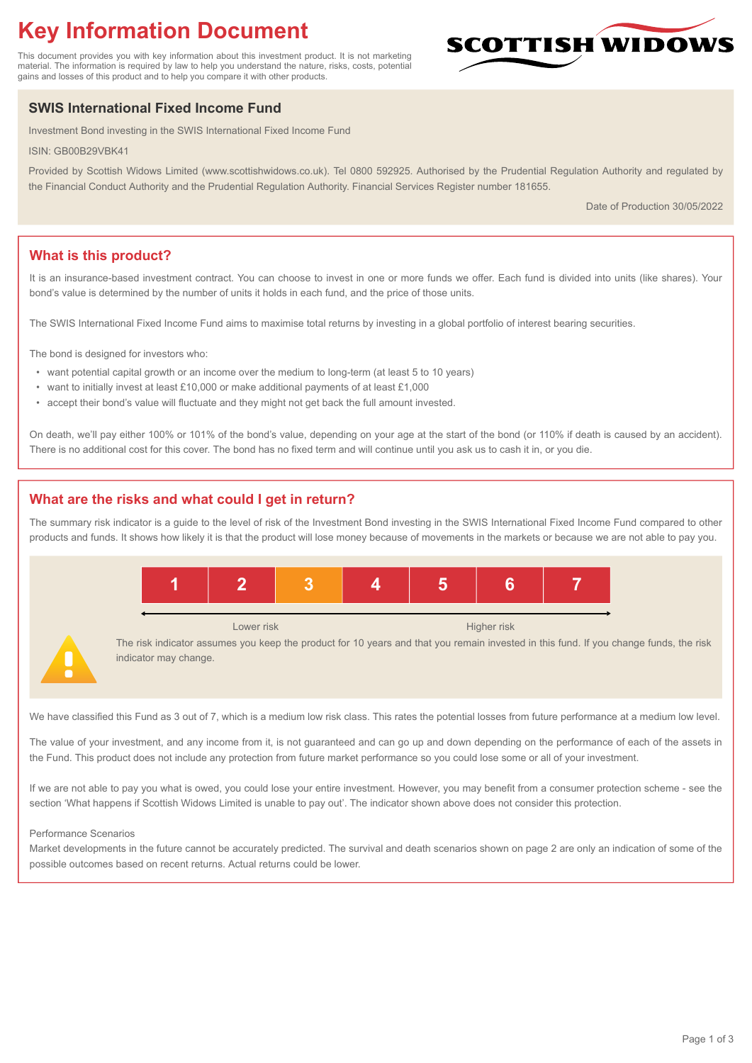# **Key Information Document**

This document provides you with key information about this investment product. It is not marketing material. The information is required by law to help you understand the nature, risks, costs, potential gains and losses of this product and to help you compare it with other products.

## **SWIS International Fixed Income Fund**

Investment Bond investing in the SWIS International Fixed Income Fund

ISIN: GB00B29VBK41

Provided by Scottish Widows Limited (www.scottishwidows.co.uk). Tel 0800 592925. Authorised by the Prudential Regulation Authority and regulated by the Financial Conduct Authority and the Prudential Regulation Authority. Financial Services Register number 181655.

Date of Production 30/05/2022

**SCOTTISH WIDOW** 

## **What is this product?**

It is an insurance-based investment contract. You can choose to invest in one or more funds we offer. Each fund is divided into units (like shares). Your bond's value is determined by the number of units it holds in each fund, and the price of those units.

The SWIS International Fixed Income Fund aims to maximise total returns by investing in a global portfolio of interest bearing securities.

The bond is designed for investors who:

- want potential capital growth or an income over the medium to long-term (at least 5 to 10 years)
- want to initially invest at least £10,000 or make additional payments of at least £1,000
- accept their bond's value will fluctuate and they might not get back the full amount invested.

On death, we'll pay either 100% or 101% of the bond's value, depending on your age at the start of the bond (or 110% if death is caused by an accident). There is no additional cost for this cover. The bond has no fixed term and will continue until you ask us to cash it in, or you die.

## **What are the risks and what could I get in return?**

The summary risk indicator is a guide to the level of risk of the Investment Bond investing in the SWIS International Fixed Income Fund compared to other products and funds. It shows how likely it is that the product will lose money because of movements in the markets or because we are not able to pay you.



We have classified this Fund as 3 out of 7, which is a medium low risk class. This rates the potential losses from future performance at a medium low level.

The value of your investment, and any income from it, is not guaranteed and can go up and down depending on the performance of each of the assets in the Fund. This product does not include any protection from future market performance so you could lose some or all of your investment.

If we are not able to pay you what is owed, you could lose your entire investment. However, you may benefit from a consumer protection scheme - see the section 'What happens if Scottish Widows Limited is unable to pay out'. The indicator shown above does not consider this protection.

#### Performance Scenarios

Market developments in the future cannot be accurately predicted. The survival and death scenarios shown on page 2 are only an indication of some of the possible outcomes based on recent returns. Actual returns could be lower.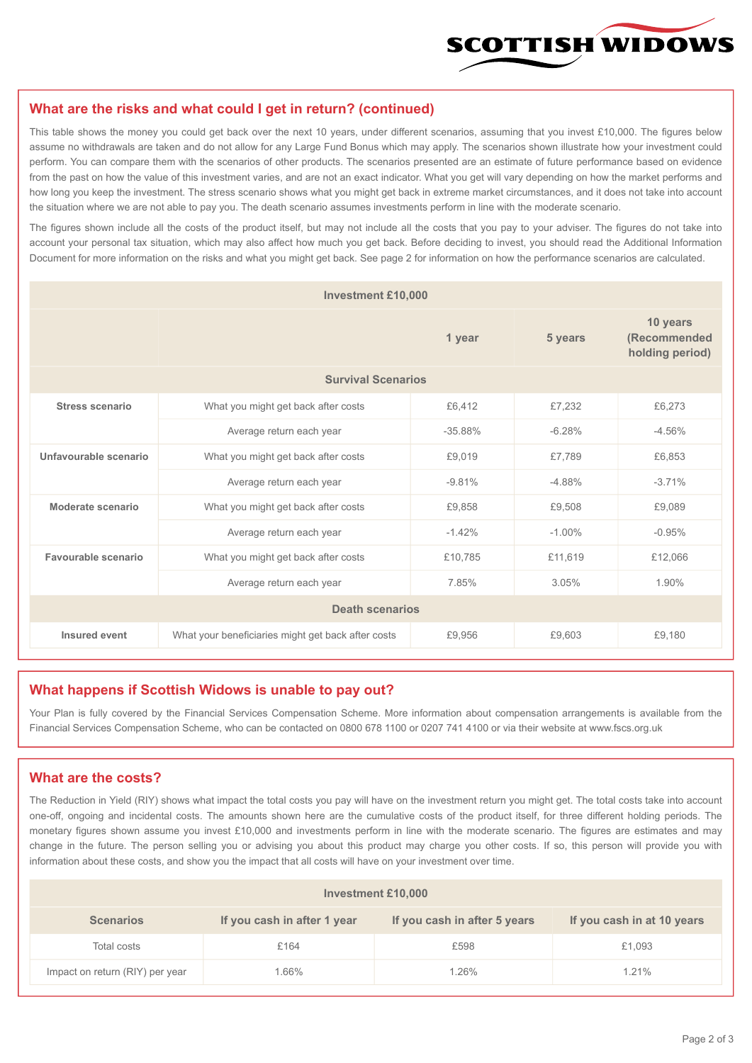

#### **What are the risks and what could I get in return? (continued)**

This table shows the money you could get back over the next 10 years, under different scenarios, assuming that you invest £10,000. The figures below assume no withdrawals are taken and do not allow for any Large Fund Bonus which may apply. The scenarios shown illustrate how your investment could perform. You can compare them with the scenarios of other products. The scenarios presented are an estimate of future performance based on evidence from the past on how the value of this investment varies, and are not an exact indicator. What you get will vary depending on how the market performs and how long you keep the investment. The stress scenario shows what you might get back in extreme market circumstances, and it does not take into account the situation where we are not able to pay you. The death scenario assumes investments perform in line with the moderate scenario.

The figures shown include all the costs of the product itself, but may not include all the costs that you pay to your adviser. The figures do not take into account your personal tax situation, which may also affect how much you get back. Before deciding to invest, you should read the Additional Information Document for more information on the risks and what you might get back. See page 2 for information on how the performance scenarios are calculated.

| <b>Investment £10,000</b> |                                                              |          |                                             |          |  |  |
|---------------------------|--------------------------------------------------------------|----------|---------------------------------------------|----------|--|--|
|                           |                                                              | 5 years  | 10 years<br>(Recommended<br>holding period) |          |  |  |
| <b>Survival Scenarios</b> |                                                              |          |                                             |          |  |  |
| <b>Stress scenario</b>    | What you might get back after costs<br>£6,412                |          | £7,232                                      | £6,273   |  |  |
|                           | Average return each year<br>$-35.88%$                        |          | $-6.28%$                                    | $-4.56%$ |  |  |
| Unfavourable scenario     | What you might get back after costs<br>£9,019                |          | £7.789                                      | £6,853   |  |  |
|                           | $-9.81%$<br>Average return each year                         |          | $-4.88%$                                    | $-3.71%$ |  |  |
| Moderate scenario         | What you might get back after costs                          | £9,858   | £9,508                                      | £9,089   |  |  |
|                           | Average return each year                                     | $-1.42%$ | $-1.00\%$                                   | $-0.95%$ |  |  |
| Favourable scenario       | What you might get back after costs                          | £10,785  | £11,619                                     | £12,066  |  |  |
| Average return each year  |                                                              | 7.85%    | 3.05%                                       | 1.90%    |  |  |
| <b>Death scenarios</b>    |                                                              |          |                                             |          |  |  |
| Insured event             | What your beneficiaries might get back after costs<br>£9,956 |          | £9,603                                      | £9,180   |  |  |

#### **What happens if Scottish Widows is unable to pay out?**

Your Plan is fully covered by the Financial Services Compensation Scheme. More information about compensation arrangements is available from the Financial Services Compensation Scheme, who can be contacted on 0800 678 1100 or 0207 741 4100 or via their website at www.fscs.org.uk

#### **What are the costs?**

The Reduction in Yield (RIY) shows what impact the total costs you pay will have on the investment return you might get. The total costs take into account one-off, ongoing and incidental costs. The amounts shown here are the cumulative costs of the product itself, for three different holding periods. The monetary figures shown assume you invest £10,000 and investments perform in line with the moderate scenario. The figures are estimates and may change in the future. The person selling you or advising you about this product may charge you other costs. If so, this person will provide you with information about these costs, and show you the impact that all costs will have on your investment over time.

| Investment £10,000              |                             |                              |                            |  |  |  |
|---------------------------------|-----------------------------|------------------------------|----------------------------|--|--|--|
| <b>Scenarios</b>                | If you cash in after 1 year | If you cash in after 5 years | If you cash in at 10 years |  |  |  |
| Total costs                     | £164                        | £598                         | £1,093                     |  |  |  |
| Impact on return (RIY) per year | 1.66%                       | 1.26%                        | 1.21%                      |  |  |  |